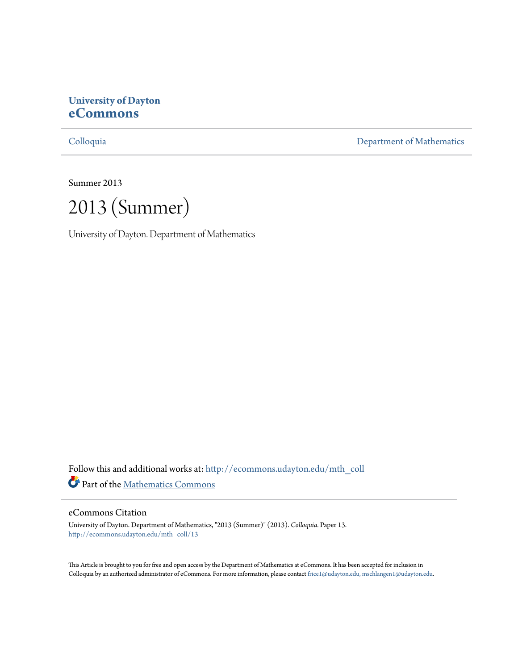# **University of Dayton [eCommons](http://ecommons.udayton.edu?utm_source=ecommons.udayton.edu%2Fmth_coll%2F13&utm_medium=PDF&utm_campaign=PDFCoverPages)**

[Colloquia](http://ecommons.udayton.edu/mth_coll?utm_source=ecommons.udayton.edu%2Fmth_coll%2F13&utm_medium=PDF&utm_campaign=PDFCoverPages) [Department of Mathematics](http://ecommons.udayton.edu/mth?utm_source=ecommons.udayton.edu%2Fmth_coll%2F13&utm_medium=PDF&utm_campaign=PDFCoverPages)

Summer 2013

2013 (Summer)

University of Dayton. Department of Mathematics

Follow this and additional works at: [http://ecommons.udayton.edu/mth\\_coll](http://ecommons.udayton.edu/mth_coll?utm_source=ecommons.udayton.edu%2Fmth_coll%2F13&utm_medium=PDF&utm_campaign=PDFCoverPages) Part of the [Mathematics Commons](http://network.bepress.com/hgg/discipline/174?utm_source=ecommons.udayton.edu%2Fmth_coll%2F13&utm_medium=PDF&utm_campaign=PDFCoverPages)

# eCommons Citation

University of Dayton. Department of Mathematics, "2013 (Summer)" (2013). *Colloquia.* Paper 13. [http://ecommons.udayton.edu/mth\\_coll/13](http://ecommons.udayton.edu/mth_coll/13?utm_source=ecommons.udayton.edu%2Fmth_coll%2F13&utm_medium=PDF&utm_campaign=PDFCoverPages)

This Article is brought to you for free and open access by the Department of Mathematics at eCommons. It has been accepted for inclusion in Colloquia by an authorized administrator of eCommons. For more information, please contact [frice1@udayton.edu, mschlangen1@udayton.edu.](mailto:frice1@udayton.edu,%20mschlangen1@udayton.edu)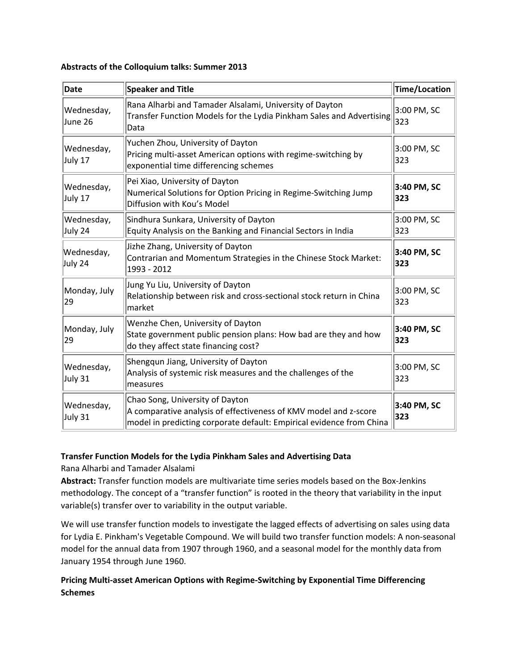#### **Abstracts of the Colloquium talks: Summer 2013**

| <b>Date</b>           | Speaker and Title                                                                                                                                                           | Time/Location      |
|-----------------------|-----------------------------------------------------------------------------------------------------------------------------------------------------------------------------|--------------------|
| Wednesday,<br>June 26 | Rana Alharbi and Tamader Alsalami, University of Dayton<br>Transfer Function Models for the Lydia Pinkham Sales and Advertising<br>Data                                     | 3:00 PM, SC<br>323 |
| Wednesday,<br>July 17 | Yuchen Zhou, University of Dayton<br>Pricing multi-asset American options with regime-switching by<br>exponential time differencing schemes                                 | 3:00 PM, SC<br>323 |
| Wednesday,<br>July 17 | Pei Xiao, University of Dayton<br>Numerical Solutions for Option Pricing in Regime-Switching Jump<br>Diffusion with Kou's Model                                             | 3:40 PM, SC<br>323 |
| Wednesday,<br>July 24 | Sindhura Sunkara, University of Dayton<br>Equity Analysis on the Banking and Financial Sectors in India                                                                     | 3:00 PM, SC<br>323 |
| Wednesday,<br>July 24 | Jizhe Zhang, University of Dayton<br>Contrarian and Momentum Strategies in the Chinese Stock Market:<br>1993 - 2012                                                         | 3:40 PM, SC<br>323 |
| Monday, July<br>29    | Jung Yu Liu, University of Dayton<br>Relationship between risk and cross-sectional stock return in China<br>market                                                          | 3:00 PM, SC<br>323 |
| Monday, July<br>29    | Wenzhe Chen, University of Dayton<br>State government public pension plans: How bad are they and how<br>do they affect state financing cost?                                | 3:40 PM, SC<br>323 |
| Wednesday,<br>July 31 | Shengqun Jiang, University of Dayton<br>Analysis of systemic risk measures and the challenges of the<br>measures                                                            | 3:00 PM, SC<br>323 |
| Wednesday,<br>July 31 | Chao Song, University of Dayton<br>A comparative analysis of effectiveness of KMV model and z-score<br>model in predicting corporate default: Empirical evidence from China | 3:40 PM, SC<br>323 |

# **Transfer Function Models for the Lydia Pinkham Sales and Advertising Data**

Rana Alharbi and Tamader Alsalami

**Abstract:** Transfer function models are multivariate time series models based on the Box‐Jenkins methodology. The concept of a "transfer function" is rooted in the theory that variability in the input variable(s) transfer over to variability in the output variable.

We will use transfer function models to investigate the lagged effects of advertising on sales using data for Lydia E. Pinkham's Vegetable Compound. We will build two transfer function models: A non‐seasonal model for the annual data from 1907 through 1960, and a seasonal model for the monthly data from January 1954 through June 1960.

# **Pricing Multi‐asset American Options with Regime‐Switching by Exponential Time Differencing Schemes**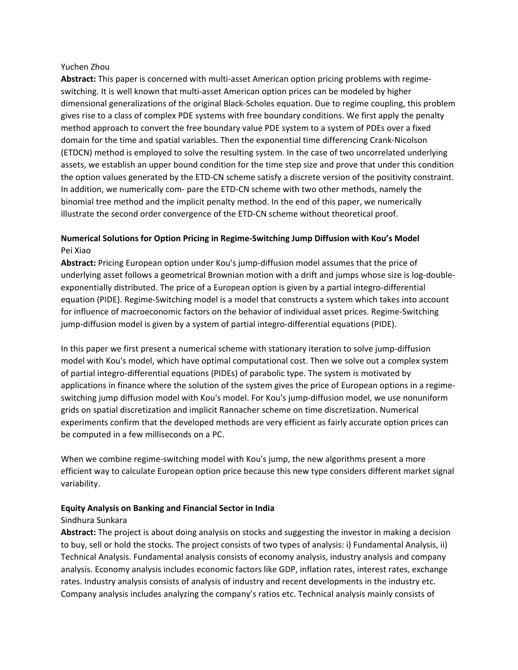#### Yuchen Zhou

Abstract: This paper is concerned with multi-asset American option pricing problems with regimeswitching. It is well known that multi‐asset American option prices can be modeled by higher dimensional generalizations of the original Black‐Scholes equation. Due to regime coupling, this problem gives rise to a class of complex PDE systems with free boundary conditions. We first apply the penalty method approach to convert the free boundary value PDE system to a system of PDEs over a fixed domain for the time and spatial variables. Then the exponential time differencing Crank‐Nicolson (ETDCN) method is employed to solve the resulting system. In the case of two uncorrelated underlying assets, we establish an upper bound condition for the time step size and prove that under this condition the option values generated by the ETD-CN scheme satisfy a discrete version of the positivity constraint. In addition, we numerically com‐ pare the ETD‐CN scheme with two other methods, namely the binomial tree method and the implicit penalty method. In the end of this paper, we numerically illustrate the second order convergence of the ETD-CN scheme without theoretical proof.

# **Numerical Solutions for Option Pricing in Regime‐Switching Jump Diffusion with Kou's Model** Pei Xiao

**Abstract:** Pricing European option under Kou's jump-diffusion model assumes that the price of underlying asset follows a geometrical Brownian motion with a drift and jumps whose size is log‐double‐ exponentially distributed. The price of a European option is given by a partial integro‐differential equation (PIDE). Regime‐Switching model is a model that constructs a system which takes into account for influence of macroeconomic factors on the behavior of individual asset prices. Regime‐Switching jump-diffusion model is given by a system of partial integro-differential equations (PIDE).

In this paper we first present a numerical scheme with stationary iteration to solve jump‐diffusion model with Kou's model, which have optimal computational cost. Then we solve out a complex system of partial integro‐differential equations (PIDEs) of parabolic type. The system is motivated by applications in finance where the solution of the system gives the price of European options in a regime‐ switching jump diffusion model with Kou's model. For Kou's jump-diffusion model, we use nonuniform grids on spatial discretization and implicit Rannacher scheme on time discretization. Numerical experiments confirm that the developed methods are very efficient as fairly accurate option prices can be computed in a few milliseconds on a PC.

When we combine regime-switching model with Kou's jump, the new algorithms present a more efficient way to calculate European option price because this new type considers different market signal variability.

# **Equity Analysis on Banking and Financial Sector in India**

#### Sindhura Sunkara

**Abstract:** The project is about doing analysis on stocks and suggesting the investor in making a decision to buy, sell or hold the stocks. The project consists of two types of analysis: i) Fundamental Analysis, ii) Technical Analysis. Fundamental analysis consists of economy analysis, industry analysis and company analysis. Economy analysis includes economic factors like GDP, inflation rates, interest rates, exchange rates. Industry analysis consists of analysis of industry and recent developments in the industry etc. Company analysis includes analyzing the company's ratios etc. Technical analysis mainly consists of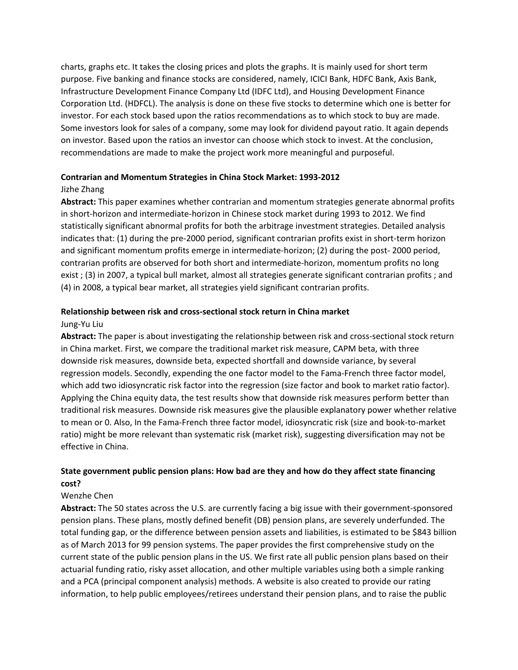charts, graphs etc. It takes the closing prices and plots the graphs. It is mainly used for short term purpose. Five banking and finance stocks are considered, namely, ICICI Bank, HDFC Bank, Axis Bank, Infrastructure Development Finance Company Ltd (IDFC Ltd), and Housing Development Finance Corporation Ltd. (HDFCL). The analysis is done on these five stocks to determine which one is better for investor. For each stock based upon the ratios recommendations as to which stock to buy are made. Some investors look for sales of a company, some may look for dividend payout ratio. It again depends on investor. Based upon the ratios an investor can choose which stock to invest. At the conclusion, recommendations are made to make the project work more meaningful and purposeful.

#### **Contrarian and Momentum Strategies in China Stock Market: 1993‐2012**

#### Jizhe Zhang

**Abstract:** This paper examines whether contrarian and momentum strategies generate abnormal profits in short-horizon and intermediate-horizon in Chinese stock market during 1993 to 2012. We find statistically significant abnormal profits for both the arbitrage investment strategies. Detailed analysis indicates that: (1) during the pre‐2000 period, significant contrarian profits exist in short‐term horizon and significant momentum profits emerge in intermediate-horizon; (2) during the post-2000 period, contrarian profits are observed for both short and intermediate‐horizon, momentum profits no long exist ; (3) in 2007, a typical bull market, almost all strategies generate significant contrarian profits ; and (4) in 2008, a typical bear market, all strategies yield significant contrarian profits.

#### **Relationship between risk and cross‐sectional stock return in China market**

#### Jung‐Yu Liu

Abstract: The paper is about investigating the relationship between risk and cross-sectional stock return in China market. First, we compare the traditional market risk measure, CAPM beta, with three downside risk measures, downside beta, expected shortfall and downside variance, by several regression models. Secondly, expending the one factor model to the Fama-French three factor model, which add two idiosyncratic risk factor into the regression (size factor and book to market ratio factor). Applying the China equity data, the test results show that downside risk measures perform better than traditional risk measures. Downside risk measures give the plausible explanatory power whether relative to mean or 0. Also, In the Fama‐French three factor model, idiosyncratic risk (size and book‐to‐market ratio) might be more relevant than systematic risk (market risk), suggesting diversification may not be effective in China.

# **State government public pension plans: How bad are they and how do they affect state financing cost?**

# Wenzhe Chen

**Abstract:** The 50 states across the U.S. are currently facing a big issue with their government‐sponsored pension plans. These plans, mostly defined benefit (DB) pension plans, are severely underfunded. The total funding gap, or the difference between pension assets and liabilities, is estimated to be \$843 billion as of March 2013 for 99 pension systems. The paper provides the first comprehensive study on the current state of the public pension plans in the US. We first rate all public pension plans based on their actuarial funding ratio, risky asset allocation, and other multiple variables using both a simple ranking and a PCA (principal component analysis) methods. A website is also created to provide our rating information, to help public employees/retirees understand their pension plans, and to raise the public